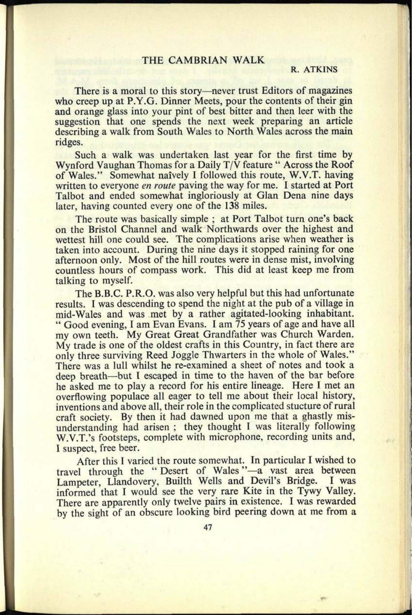## THE CAMBRIAN WALK

## R. ATKINS

There is a moral to this story—never trust Editors of magazines who creep up at P.Y.G. Dinner Meets, pour the contents of their gin and orange glass into your pint of best bitter and then leer with the suggestion that one spends the next week preparing an article describing a walk from South Wales to North Wales across the main ridges.

Such a walk was undertaken last year for the first time by Wynford Vaughan Thomas for a Daily T/V feature " Across the Roof of Wales." Somewhat naively I followed this route, W.V.T. having written to everyone *en route* paving the way for me. I started at Port Talbot and ended somewhat ingloriously at Glan Dena nine days later, having counted every one of the 138 miles.

The route was basically simple; at Port Talbot turn one's back on the Bristol Channel and walk Northwards over the highest and wettest hill one could see. The complications arise when weather is taken into account. During the nine days it stopped raining for one afternoon only. Most of the hill routes were in dense mist, involving countless hours of compass work. This did at least keep me from talking to myself.

The B.B.C. P.R.O. was also very helpful but this had unfortunate results. I was descending to spend the night at the pub of a village in mid-Wales and was met by a rather agitated-looking inhabitant. " Good evening, I am Evan Evans. I am 75 years of age and have all my own teeth. My Great Great Grandfather was Church Warden. My trade is one of the oldest crafts in this Country, in fact there are only three surviving Reed Joggle Thwarters in the whole of Wales." There was a lull whilst he re-examined a sheet of notes and took a deep breath—but I escaped in time to the haven of the bar before he asked me to play a record for his entire lineage. Here I met an overflowing populace all eager to tell me about their local history, inventions and above all, their role in the complicated stucture of rural craft society. By then it had dawned upon me that a ghastly misunderstanding had arisen ; they thought I was literally following W.V.T.'s footsteps, complete with microphone, recording units and, 1 suspect, free beer.

After this I varied the route somewhat. In particular I wished to travel through the "Desert of Wales"-a vast area between Lampeter, Llandovery, Builth Wells and Devil's Bridge. I was informed that I would see the very rare Kite in the Tywy Valley. There are apparently only twelve pairs in existence. I was rewarded by the sight of an obscure looking bird peering down at me from <sup>a</sup>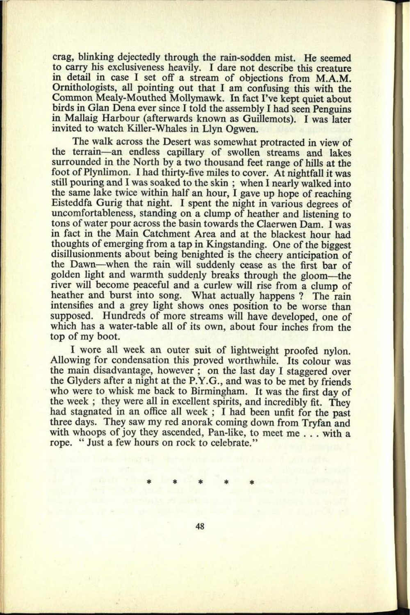crag, blinking dejectedly through the rain-sodden mist. He seemed to carry his exclusiveness heavily. I dare not describe this creature in detail in case I set off a stream of objections from M.A.M. Ornithologists, all pointing out that I am confusing this with the Common Mealy-Mouthed Mollymawk. In fact I've kept quiet about birds in Glan Dena ever since I told the assembly I had seen Penguins in Mallaig Harbour (afterwards known as Guillemots). I was later invited to watch Killer-Whales in Llyn Ogwen.

The walk across the Desert was somewhat protracted in view of the terrain—an endless capillary of swollen streams and lakes surrounded in the North by a two thousand feet range of hills at the foot of Plynlimon. I had thirty-five miles to cover. At nightfall it was still pouring and I was soaked to the skin ; when I nearly walked into the same lake twice within half an hour, I gave up hope of reaching Eisteddfa Gurig that night. I spent the night in various degrees of uncomfortableness, standing on a clump of heather and listening to tons of water pour across the basin towards the Claerwen Dam. I was in fact in the Main Catchment Area and at the blackest hour had thoughts of emerging from a tap in Kingstanding. One of the biggest disillusionments about being benighted is the cheery anticipation of the Dawn-when the rain will suddenly cease as the first bar of golden light and warmth suddenly breaks through the gloom-the river will become peaceful and a curlew will rise from a clump of heather and burst into song. What actually happens ? The rain intensifies and a grey light shows ones position to be worse than supposed. Hundreds of more streams will have developed, one of which has a water-table all of its own, about four inches from the top of my boot.

I wore all week an outer suit of lightweight proofed nylon. Allowing for condensation this proved worthwhile. Its colour was the main disadvantage, however ; on the last day I staggered over the Glyders after a night at the P.Y.G., and was to be met by friends who were to whisk me back to Birmingham. It was the first day of the week ; they were all in excellent spirits, and incredibly fit. They had stagnated in an office all week ; I had been unfit for the past three days. They saw my red anorak coming down from Tryfan and with whoops of joy they ascended, Pan-like, to meet me . . . with a rope. " Just a few hours on rock to celebrate."

 $*$